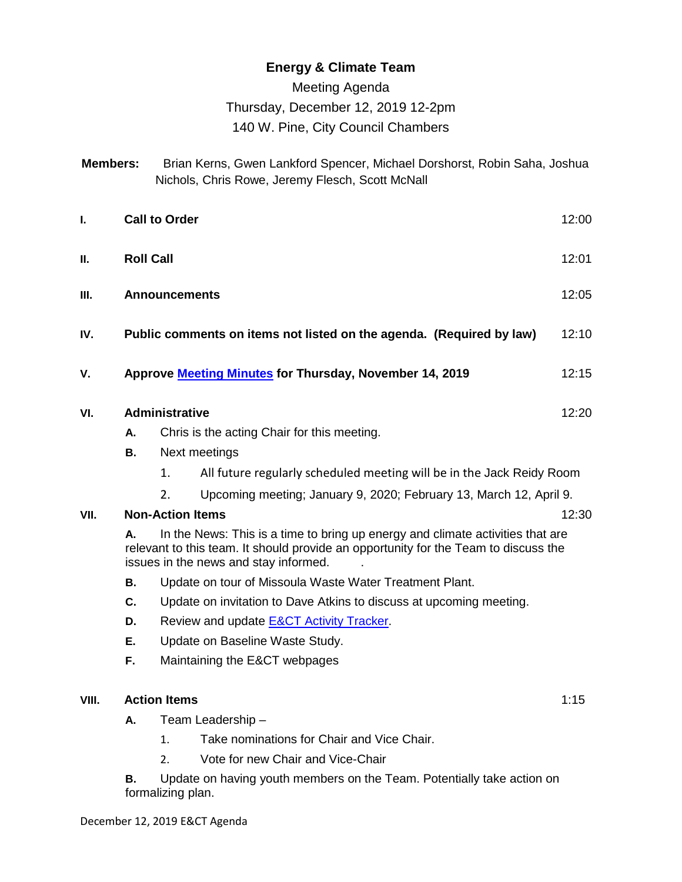## **Energy & Climate Team**

### Meeting Agenda

# Thursday, December 12, 2019 12-2pm

## 140 W. Pine, City Council Chambers

| <b>Members:</b> | Brian Kerns, Gwen Lankford Spencer, Michael Dorshorst, Robin Saha, Joshua |
|-----------------|---------------------------------------------------------------------------|
|                 | Nichols, Chris Rowe, Jeremy Flesch, Scott McNall                          |

| L.    | <b>Call to Order</b><br>12:00                                                                                                                                                                                        |                       |                                             |       |  |
|-------|----------------------------------------------------------------------------------------------------------------------------------------------------------------------------------------------------------------------|-----------------------|---------------------------------------------|-------|--|
| Ш.    | <b>Roll Call</b><br>12:01                                                                                                                                                                                            |                       |                                             |       |  |
| III.  | 12:05<br><b>Announcements</b>                                                                                                                                                                                        |                       |                                             |       |  |
| IV.   | Public comments on items not listed on the agenda. (Required by law)<br>12:10                                                                                                                                        |                       |                                             |       |  |
| V.    | Approve Meeting Minutes for Thursday, November 14, 2019<br>12:15                                                                                                                                                     |                       |                                             |       |  |
| VI.   |                                                                                                                                                                                                                      | <b>Administrative</b> |                                             | 12:20 |  |
|       | Α.                                                                                                                                                                                                                   |                       | Chris is the acting Chair for this meeting. |       |  |
|       | Next meetings<br>В.                                                                                                                                                                                                  |                       |                                             |       |  |
|       | All future regularly scheduled meeting will be in the Jack Reidy Room<br>1.                                                                                                                                          |                       |                                             |       |  |
|       | Upcoming meeting; January 9, 2020; February 13, March 12, April 9.<br>2.                                                                                                                                             |                       |                                             |       |  |
| VII.  | <b>Non-Action Items</b>                                                                                                                                                                                              |                       |                                             |       |  |
|       | In the News: This is a time to bring up energy and climate activities that are<br>А.<br>relevant to this team. It should provide an opportunity for the Team to discuss the<br>issues in the news and stay informed. |                       |                                             |       |  |
|       | Update on tour of Missoula Waste Water Treatment Plant.<br>В.                                                                                                                                                        |                       |                                             |       |  |
|       | Update on invitation to Dave Atkins to discuss at upcoming meeting.<br>C.                                                                                                                                            |                       |                                             |       |  |
|       | Review and update E&CT Activity Tracker.<br>D.                                                                                                                                                                       |                       |                                             |       |  |
|       | Ε.<br>Update on Baseline Waste Study.                                                                                                                                                                                |                       |                                             |       |  |
|       | F.                                                                                                                                                                                                                   |                       | Maintaining the E&CT webpages               |       |  |
| VIII. |                                                                                                                                                                                                                      | <b>Action Items</b>   |                                             | 1:15  |  |
|       | Team Leadership -<br>А.                                                                                                                                                                                              |                       |                                             |       |  |

- 1. Take nominations for Chair and Vice Chair.
- 2. Vote for new Chair and Vice-Chair

**B.** Update on having youth members on the Team. Potentially take action on formalizing plan.